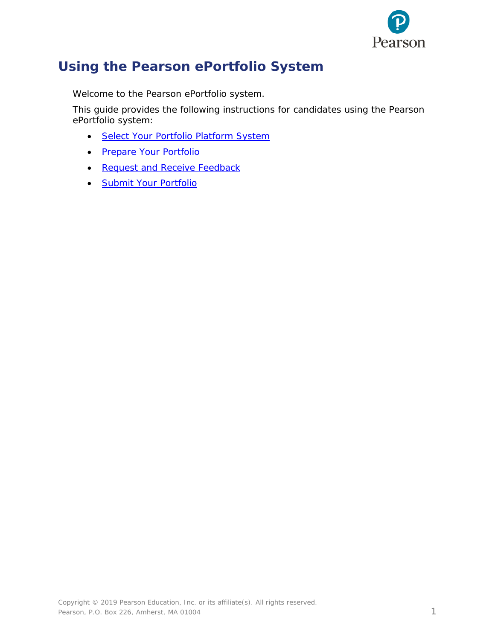

# **Using the Pearson ePortfolio System**

Welcome to the Pearson ePortfolio system.

This guide provides the following instructions for candidates using the Pearson ePortfolio system:

- [Select Your Portfolio Platform](#page-1-0) System
- [Prepare Your Portfolio](#page-1-1)
- [Request and Receive Feedback](#page-8-0)
- [Submit Your Portfolio](#page-13-0)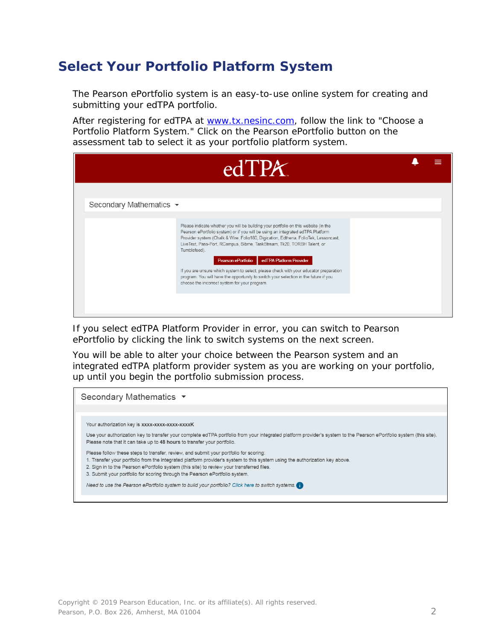## <span id="page-1-0"></span>**Select Your Portfolio Platform System**

The Pearson ePortfolio system is an easy-to-use online system for creating and submitting your edTPA portfolio.

After registering for edTPA at [www.tx.nesinc.com,](http://www.tx.nesinc.com/) follow the link to "Choose a Portfolio Platform System." Click on the Pearson ePortfolio button on the assessment tab to select it as your portfolio platform system.



If you select edTPA Platform Provider in error, you can switch to Pearson ePortfolio by clicking the link to switch systems on the next screen.

You will be able to alter your choice between the Pearson system and an integrated edTPA platform provider system as you are working on your portfolio, up until you begin the portfolio submission process.

<span id="page-1-1"></span>

| Secondary Mathematics ▼                                                                                                                                                                                                                                                                                                                                                                          |
|--------------------------------------------------------------------------------------------------------------------------------------------------------------------------------------------------------------------------------------------------------------------------------------------------------------------------------------------------------------------------------------------------|
|                                                                                                                                                                                                                                                                                                                                                                                                  |
| Your authorization key is xxxx-xxxx-xxxx-xxxxK<br>Use your authorization key to transfer your complete edTPA portfolio from your integrated platform provider's system to the Pearson ePortfolio system (this site).<br>Please note that it can take up to 48 hours to transfer your portfolio.                                                                                                  |
| Please follow these steps to transfer, review, and submit your portfolio for scoring:<br>1. Transfer your portfolio from the integrated platform provider's system to this system using the authorization key above.<br>2. Sign in to the Pearson ePortfolio system (this site) to review your transferred files.<br>3. Submit your portfolio for scoring through the Pearson ePortfolio system. |
| Need to use the Pearson ePortfolio system to build your portfolio? Click here to switch systems.                                                                                                                                                                                                                                                                                                 |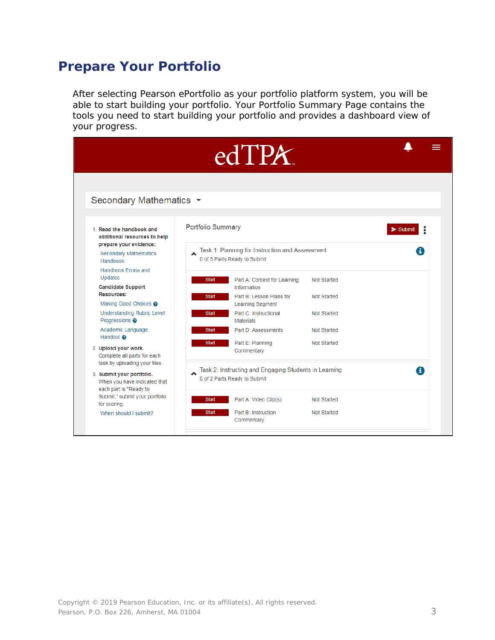# **Prepare Your Portfolio**

After selecting Pearson ePortfolio as your portfolio platform system, you will be able to start building your portfolio. Your Portfolio Summary Page contains the tools you need to start building your portfolio and provides a dashboard view of your progress.

| Secondary Mathematics ▼                                                                                                 |                                                                                                                             |                            |                                   |
|-------------------------------------------------------------------------------------------------------------------------|-----------------------------------------------------------------------------------------------------------------------------|----------------------------|-----------------------------------|
| 1. Read the handbook and<br>additional resources to help<br>prepare your evidence:<br>Secondary Mathematics<br>Handbook | Portfolio Summary<br>Task 1: Planning for Instruction and Assessment<br>0 of 5 Parts Ready to Submit                        |                            | $\blacktriangleright$ Submit<br>A |
| Handbook Errata and<br>Updates<br><b>Candidate Support</b><br>Resources:<br>Making Good Choices @                       | Part A: Context for Learning<br><b>Start</b><br>Information<br>Part B: Lesson Plans for<br><b>Start</b><br>Learning Segment | Not Started<br>Not Started |                                   |
| <b>Understanding Rubric Level</b><br>Progressions @<br>Academic Language                                                | Part C: Instructional<br><b>Start</b><br><b>Materials</b><br><b>Start</b><br>Part D: Assessments                            | Not Started<br>Not Started |                                   |
| Handout @<br>2. Upload your work.<br>Complete all parts for each<br>task by uploading your files.                       | <b>Start</b><br>Part E: Planning<br>Commentary                                                                              | Not Started                |                                   |
| 3. Submit your portfolio.<br>When you have indicated that<br>each part is "Ready to<br>Submit," submit your portfolio   | Task 2: Instructing and Engaging Students in Learning<br>0 of 2 Parts Ready to Submit                                       |                            | A                                 |
| for scoring.<br>When should I submit?                                                                                   | <b>Start</b><br>Part A: Video Clip(s)<br>Part B: Instruction<br><b>Start</b><br>Commentary                                  | Not Started<br>Not Started |                                   |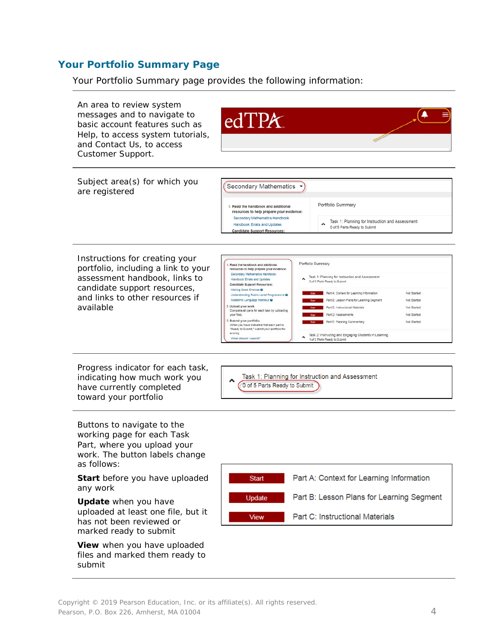### **Your Portfolio Summary Page**

Your Portfolio Summary page provides the following information:

| An area to review system<br>messages and to navigate to<br>basic account features such as<br>Help, to access system tutorials,<br>and Contact Us, to access<br>Customer Support.       | edTPX                                                                                                                                                                                                                                                                                                                                                                                                                                                                                                                                    |                                                                                                                                                                                                                                                                                                                                                                                                                                                                 |
|----------------------------------------------------------------------------------------------------------------------------------------------------------------------------------------|------------------------------------------------------------------------------------------------------------------------------------------------------------------------------------------------------------------------------------------------------------------------------------------------------------------------------------------------------------------------------------------------------------------------------------------------------------------------------------------------------------------------------------------|-----------------------------------------------------------------------------------------------------------------------------------------------------------------------------------------------------------------------------------------------------------------------------------------------------------------------------------------------------------------------------------------------------------------------------------------------------------------|
| Subject area(s) for which you<br>are registered                                                                                                                                        | <b>Secondary Mathematics</b><br>1. Read the handbook and additional<br>resources to help prepare your evidence:<br>Secondary Mathematics Handbook<br>Handbook Errata and Updates<br><b>Candidate Support Resources:</b>                                                                                                                                                                                                                                                                                                                  | Portfolio Summary<br>Task 1: Planning for Instruction and Assessment<br>^<br>0 of 5 Parts Ready to Submit                                                                                                                                                                                                                                                                                                                                                       |
| Instructions for creating your<br>portfolio, including a link to your<br>assessment handbook, links to<br>candidate support resources,<br>and links to other resources if<br>available | Read the handbook and additional<br>resources to help prepare your evidence:<br>Secondary Mathematics Handbook<br>Handbook Errata and Updates<br>Candidate Support Resources:<br>Making Good Choices @<br>Understanding Rubric Level Progressions @<br>Academic Language Handout @<br>2. Upload your work.<br>Complete all parts for each task by uploading<br>your files.<br>3. Submit your portfolio.<br>When you have indicated that each part is<br>"Ready to Submit," submit your portfolio for<br>scoring<br>When should I submit? | Portfolio Summary<br>Task 1: Planning for Instruction and Assessment<br>0 of 5 Parts Ready to Submit<br>Part A: Context for Learning Information<br>Not Started<br>Part B: Lesson Plans for Learning Segment<br>Not Started<br>Part C: Instructional Materials<br>Not Started<br>Part D: Assessments<br>Not Started<br>Part E: Planning Commentary<br>Not Started<br>Task 2: Instructing and Engaging Students in Learning<br>۸<br>1 of 2 Parts Ready to Submit |
| Progress indicator for each task,<br>indicating how much work you<br>have currently completed<br>toward your portfolio                                                                 | 0 of 5 Parts Ready to Submit                                                                                                                                                                                                                                                                                                                                                                                                                                                                                                             | Task 1: Planning for Instruction and Assessment                                                                                                                                                                                                                                                                                                                                                                                                                 |
| Buttons to navigate to the<br>working page for each Task<br>Part, where you upload your<br>work. The button labels change<br>as follows:                                               |                                                                                                                                                                                                                                                                                                                                                                                                                                                                                                                                          |                                                                                                                                                                                                                                                                                                                                                                                                                                                                 |
| Start before you have uploaded<br>any work                                                                                                                                             | <b>Start</b>                                                                                                                                                                                                                                                                                                                                                                                                                                                                                                                             | Part A: Context for Learning Information                                                                                                                                                                                                                                                                                                                                                                                                                        |
| Update when you have                                                                                                                                                                   | Update                                                                                                                                                                                                                                                                                                                                                                                                                                                                                                                                   | Part B: Lesson Plans for Learning Segment                                                                                                                                                                                                                                                                                                                                                                                                                       |
| uploaded at least one file, but it<br>has not been reviewed or<br>marked ready to submit                                                                                               | View                                                                                                                                                                                                                                                                                                                                                                                                                                                                                                                                     | Part C: Instructional Materials                                                                                                                                                                                                                                                                                                                                                                                                                                 |
| View when you have uploaded<br>files and marked them ready to<br>submit                                                                                                                |                                                                                                                                                                                                                                                                                                                                                                                                                                                                                                                                          |                                                                                                                                                                                                                                                                                                                                                                                                                                                                 |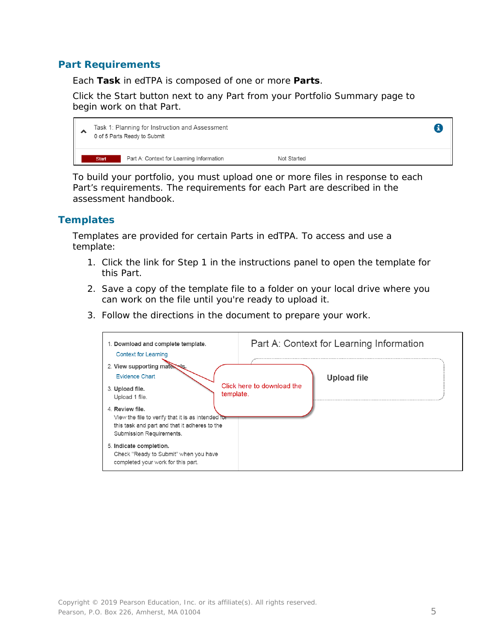### **Part Requirements**

Each **Task** in edTPA is composed of one or more **Parts**.

Click the Start button next to any Part from your Portfolio Summary page to begin work on that Part.



To build your portfolio, you must upload one or more files in response to each Part's requirements. The requirements for each Part are described in the assessment handbook.

### **Templates**

Templates are provided for certain Parts in edTPA. To access and use a template:

- 1. Click the link for Step 1 in the instructions panel to open the template for this Part.
- 2. Save a copy of the template file to a folder on your local drive where you can work on the file until you're ready to upload it.
- 3. Follow the directions in the document to prepare your work.

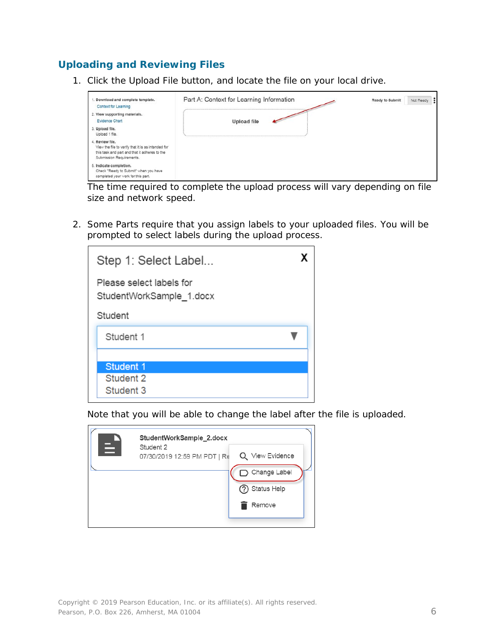### **Uploading and Reviewing Files**

1. Click the Upload File button, and locate the file on your local drive.



The time required to complete the upload process will vary depending on file size and network speed.

2. Some Parts require that you assign labels to your uploaded files. You will be prompted to select labels during the upload process.

| Step 1: Select Label                                 |  |
|------------------------------------------------------|--|
| Please select labels for<br>StudentWorkSample 1.docx |  |
| Student                                              |  |
| Student 1                                            |  |
|                                                      |  |
| <b>Student 1</b>                                     |  |
| Student 2                                            |  |
| Student 3                                            |  |

Note that you will be able to change the label after the file is uploaded.

|   | StudentWorkSample 2.docx                                     |
|---|--------------------------------------------------------------|
| 9 | Student 2<br>Q View Evidence<br>07/30/2019 12:59 PM PDT   Re |
|   | Change Label                                                 |
|   | Status Help                                                  |
|   | Remove                                                       |
|   |                                                              |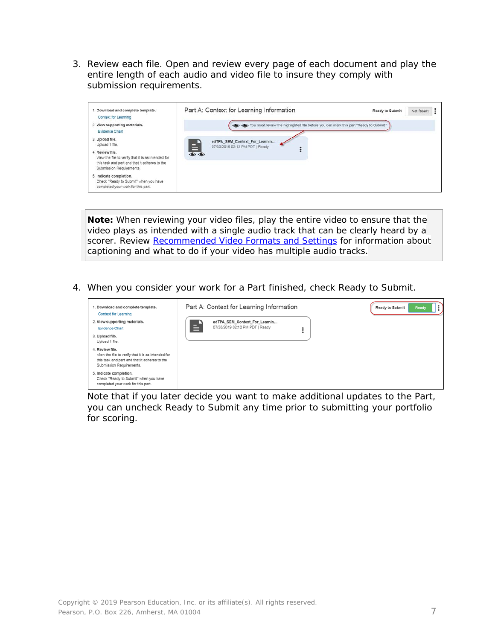3. Review each file. Open and review every page of each document and play the entire length of each audio and video file to insure they comply with submission requirements.

| 1. Download and complete template.<br>Context for Learning                                                                                         | Part A: Context for Learning Information                                                        | Ready to Submit | Not Ready |  |
|----------------------------------------------------------------------------------------------------------------------------------------------------|-------------------------------------------------------------------------------------------------|-----------------|-----------|--|
| 2. View supporting materials.<br>Evidence Chart                                                                                                    | (Co) << > You must review the highlighted file before you can mark this part "Ready to Submit." |                 |           |  |
| 3. Upload file.<br>Upload 1 file.                                                                                                                  | edTPA_SEM_Context_For_Learnin<br>07/30/2019 02:12 PM PDT   Ready                                |                 |           |  |
| 4. Review file.<br>View the file to verify that it is as intended for<br>this task and part and that it adheres to the<br>Submission Requirements. | E.                                                                                              |                 |           |  |
| 5. Indicate completion.<br>Check "Ready to Submit" when you have<br>completed your work for this part.                                             |                                                                                                 |                 |           |  |

**Note:** When reviewing your video files, play the entire video to ensure that the video plays as intended with a single audio track that can be clearly heard by a scorer. Review [Recommended Video Formats and Settings](http://www.edtpa.com/Content/Docs/RecommendedVideoFormatsandSettings.pdf) for information about captioning and what to do if your video has multiple audio tracks.

4. When you consider your work for a Part finished, check Ready to Submit.



Note that if you later decide you want to make additional updates to the Part, you can uncheck Ready to Submit any time prior to submitting your portfolio for scoring.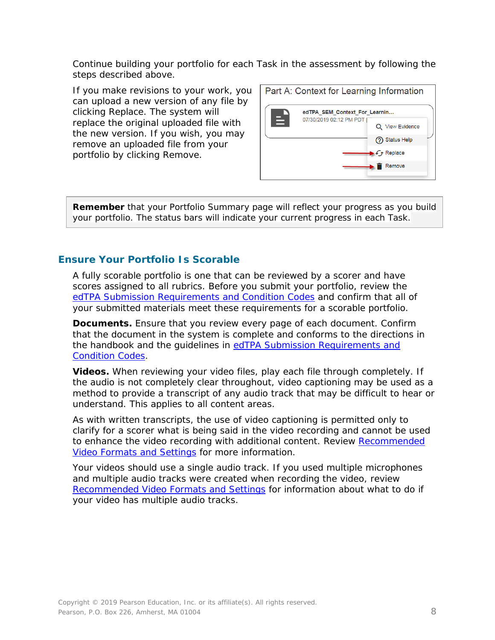Continue building your portfolio for each Task in the assessment by following the steps described above.

If you make revisions to your work, you can upload a new version of any file by clicking Replace. The system will replace the original uploaded file with the new version. If you wish, you may remove an uploaded file from your portfolio by clicking Remove.

| Part A: Context for Learning Information                      |                 |  |  |
|---------------------------------------------------------------|-----------------|--|--|
| edTPA SEM Context For Learnin<br>Е<br>07/30/2019 02:12 PM PDT | Q View Evidence |  |  |
|                                                               | (?) Status Help |  |  |
|                                                               | $f$ Replace     |  |  |
|                                                               | Remove          |  |  |

**Remember** that your Portfolio Summary page will reflect your progress as you build your portfolio. The status bars will indicate your current progress in each Task.

#### **Ensure Your Portfolio Is Scorable**

A fully scorable portfolio is one that can be reviewed by a scorer and have scores assigned to all rubrics. Before you submit your portfolio, review the [edTPA Submission Requirements](http://www.tx.nesinc.com/TestView.aspx?f=GEN_CandidatePolicies.html) and Condition Codes and confirm that all of your submitted materials meet these requirements for a scorable portfolio.

**Documents.** Ensure that you review every page of each document. Confirm that the document in the system is complete and conforms to the directions in the handbook and the guidelines in [edTPA Submission Requirements](http://www.tx.nesinc.com/TestView.aspx?f=GEN_CandidatePolicies.html) and [Condition Codes.](http://www.tx.nesinc.com/TestView.aspx?f=GEN_CandidatePolicies.html)

**Videos.** When reviewing your video files, play each file through completely. If the audio is not completely clear throughout, video captioning may be used as a method to provide a transcript of any audio track that may be difficult to hear or understand. This applies to all content areas.

As with written transcripts, the use of video captioning is permitted only to clarify for a scorer what is being said in the video recording and cannot be used to enhance the video recording with additional content. Review [Recommended](http://www.edtpa.com/Content/Docs/RecommendedVideoFormatsandSettings.pdf)  [Video Formats and Settings](http://www.edtpa.com/Content/Docs/RecommendedVideoFormatsandSettings.pdf) for more information.

Your videos should use a single audio track. If you used multiple microphones and multiple audio tracks were created when recording the video, review [Recommended Video Formats and Settings](http://www.edtpa.com/Content/Docs/RecommendedVideoFormatsandSettings.pdf) for information about what to do if your video has multiple audio tracks.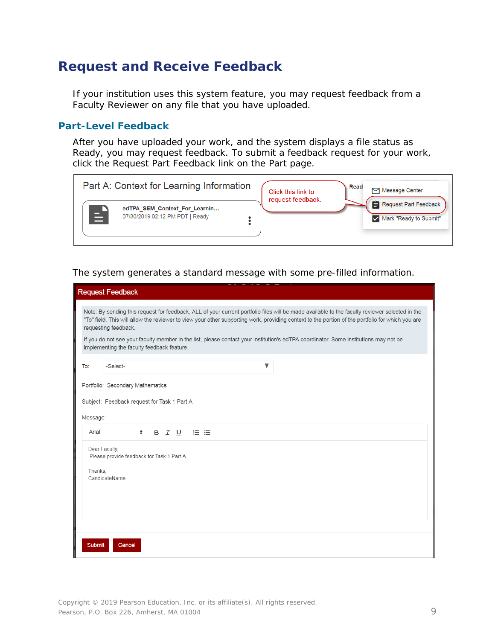# <span id="page-8-0"></span>**Request and Receive Feedback**

If your institution uses this system feature, you may request feedback from a Faculty Reviewer on any file that you have uploaded.

#### **Part-Level Feedback**

After you have uploaded your work, and the system displays a file status as Ready, you may request feedback. To submit a feedback request for your work, click the Request Part Feedback link on the Part page.



#### The system generates a standard message with some pre-filled information.

|               | <b>Request Feedback</b>                                                                                                                                                                                                                                                                                                                                                                                                                                                                                          |  |  |  |  |
|---------------|------------------------------------------------------------------------------------------------------------------------------------------------------------------------------------------------------------------------------------------------------------------------------------------------------------------------------------------------------------------------------------------------------------------------------------------------------------------------------------------------------------------|--|--|--|--|
|               | Note: By sending this request for feedback, ALL of your current portfolio files will be made available to the faculty reviewer selected in the<br>"To" field. This will allow the reviewer to view your other supporting work, providing context to the portion of the portfolio for which you are<br>requesting feedback.<br>If you do not see your faculty member in the list, please contact your institution's edTPA coordinator. Some institutions may not be<br>implementing the faculty feedback feature. |  |  |  |  |
| To:           | ▼<br>-Select-                                                                                                                                                                                                                                                                                                                                                                                                                                                                                                    |  |  |  |  |
|               | Portfolio: Secondary Mathematics                                                                                                                                                                                                                                                                                                                                                                                                                                                                                 |  |  |  |  |
|               | Subject: Feedback request for Task 1 Part A                                                                                                                                                                                                                                                                                                                                                                                                                                                                      |  |  |  |  |
| Message:      |                                                                                                                                                                                                                                                                                                                                                                                                                                                                                                                  |  |  |  |  |
| Arial         | $\div$<br>B J U 三三                                                                                                                                                                                                                                                                                                                                                                                                                                                                                               |  |  |  |  |
| Thanks,       | Dear Faculty,<br>Please provide feedback for Task 1 Part A.<br>CandidateName                                                                                                                                                                                                                                                                                                                                                                                                                                     |  |  |  |  |
|               |                                                                                                                                                                                                                                                                                                                                                                                                                                                                                                                  |  |  |  |  |
|               |                                                                                                                                                                                                                                                                                                                                                                                                                                                                                                                  |  |  |  |  |
| <b>Submit</b> | Cancel                                                                                                                                                                                                                                                                                                                                                                                                                                                                                                           |  |  |  |  |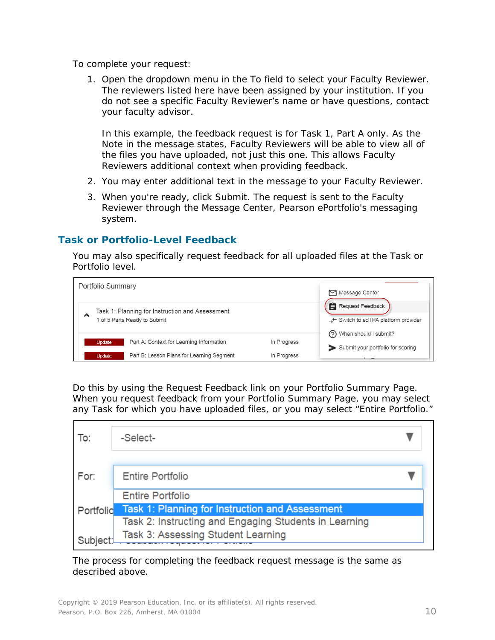To complete your request:

1. Open the dropdown menu in the To field to select your Faculty Reviewer. The reviewers listed here have been assigned by your institution. If you do not see a specific Faculty Reviewer's name or have questions, contact your faculty advisor.

In this example, the feedback request is for Task 1, Part A only. As the Note in the message states, Faculty Reviewers will be able to view all of the files you have uploaded, not just this one. This allows Faculty Reviewers additional context when providing feedback.

- 2. You may enter additional text in the message to your Faculty Reviewer.
- 3. When you're ready, click Submit. The request is sent to the Faculty Reviewer through the Message Center, Pearson ePortfolio's messaging system.

### **Task or Portfolio-Level Feedback**

You may also specifically request feedback for all uploaded files at the Task or Portfolio level.

|                                                                                      |  | Portfolio Summary |                                           |             | Message Center                                          |
|--------------------------------------------------------------------------------------|--|-------------------|-------------------------------------------|-------------|---------------------------------------------------------|
| Task 1: Planning for Instruction and Assessment<br>⌒<br>1 of 5 Parts Ready to Submit |  |                   |                                           |             | Request Feedback<br>← Switch to edTPA platform provider |
|                                                                                      |  |                   |                                           |             | (?) When should I submit?                               |
|                                                                                      |  | Update            | Part A: Context for Learning Information  | In Progress | Submit your portfolio for scoring                       |
|                                                                                      |  | Update            | Part B: Lesson Plans for Learning Segment | In Progress |                                                         |

Do this by using the Request Feedback link on your Portfolio Summary Page. When you request feedback from your Portfolio Summary Page, you may select any Task for which you have uploaded files, or you may select "Entire Portfolio."

| To:       | -Select-                                              |  |
|-----------|-------------------------------------------------------|--|
|           |                                                       |  |
| For:      | Entire Portfolio                                      |  |
|           | <b>Entire Portfolio</b>                               |  |
| Portfolio | Task 1: Planning for Instruction and Assessment       |  |
|           | Task 2: Instructing and Engaging Students in Learning |  |
| Subject:  | Task 3: Assessing Student Learning                    |  |

#### The process for completing the feedback request message is the same as described above.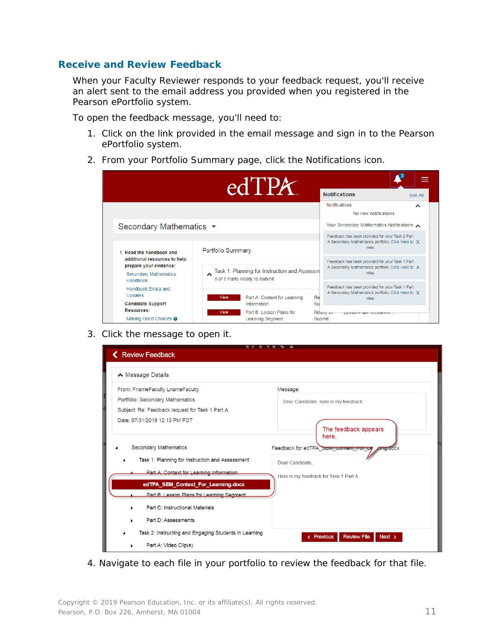#### **Receive and Review Feedback**

When your Faculty Reviewer responds to your feedback request, you'll receive an alert sent to the email address you provided when you registered in the Pearson ePortfolio system.

To open the feedback message, you'll need to:

- 1. Click on the link provided in the email message and sign in to the Pearson ePortfolio system.
- 2. From your Portfolio Summary page, click the Notifications icon.

|                                                                                                    |                   | edTPA                                                                                                                                     |              |                                                                                                                      |         |
|----------------------------------------------------------------------------------------------------|-------------------|-------------------------------------------------------------------------------------------------------------------------------------------|--------------|----------------------------------------------------------------------------------------------------------------------|---------|
|                                                                                                    |                   |                                                                                                                                           |              | <b>Notifications</b>                                                                                                 | See All |
|                                                                                                    |                   |                                                                                                                                           |              | <b>Notifications</b><br>No new notifications.                                                                        | ㅅ       |
| Secondary Mathematics ▼                                                                            |                   |                                                                                                                                           |              | Your Secondary Mathematics Notifications <                                                                           |         |
| 1 Read the handbook and                                                                            | Portfolio Summary |                                                                                                                                           |              | Feedback has been provided for your Task 2 Part<br>A Secondary Mathematics portfolio. Click Here to X<br>view        |         |
| additional resources to help<br>prepare your evidence:<br><b>Secondary Mathematics</b><br>Handbook |                   | Task 1: Planning for Instruction and Assessm<br>5 of 5 Parts Ready to Submit<br>Part A: Context for Learning<br>Re<br>View<br>Information |              | Feedback has been provided for your Task 1 Part<br>A Secondary Mathematics portfolio. Click Here to X<br>view        |         |
| Handbook Errata and<br>Updates<br><b>Candidate Support</b>                                         |                   |                                                                                                                                           |              | Feedback has been provided for your Task 1 Part<br>A Secondary Mathematics portfolio. Click Here to X<br><b>VIAW</b> |         |
| Resources:<br>Making Good Choices @                                                                | View              | Part B: Lesson Plans for<br><b>Learning Segment</b>                                                                                       | Su<br>Submit | Reauy to<br>LCSSUIIFIAIII UILCAIIIIII                                                                                |         |

3. Click the message to open it.

| <b>K</b> Review Feedback                                                                                                                                                                                                                                            |                                                                                                                                   |
|---------------------------------------------------------------------------------------------------------------------------------------------------------------------------------------------------------------------------------------------------------------------|-----------------------------------------------------------------------------------------------------------------------------------|
| ∧ Message Details                                                                                                                                                                                                                                                   |                                                                                                                                   |
| From: FnameFaculty LnameFaculty<br>Portfolio: Secondary Mathematics<br>Subject: Re: Feedback request for Task 1 Part A<br>Date: 07/31/2019 12:13 PM PDT                                                                                                             | Message:<br>Dear Candidate, here is my feedback.<br>The feedback appears                                                          |
| Secondary Mathematics<br>Task 1: Planning for Instruction and Assessment<br>Part A: Context for Learning Information.<br>edTPA_SEM_Context_For_Learning.docx<br>Part B: Lesson Plans for Learning Segment<br>Part C: Instructional Materials<br>Part D: Assessments | here.<br>Feedback for edTPA_SEM_Context_ror_Ly<br><b>Alling.docx</b><br>Dear Candidate,<br>Here is my feedback for Task 1 Part A. |
| Task 2: Instructing and Engaging Students in Learning<br>Part A: Video Clip(s)                                                                                                                                                                                      | <b>Review File</b><br>< Previous<br>Next >                                                                                        |

4. Navigate to each file in your portfolio to review the feedback for that file.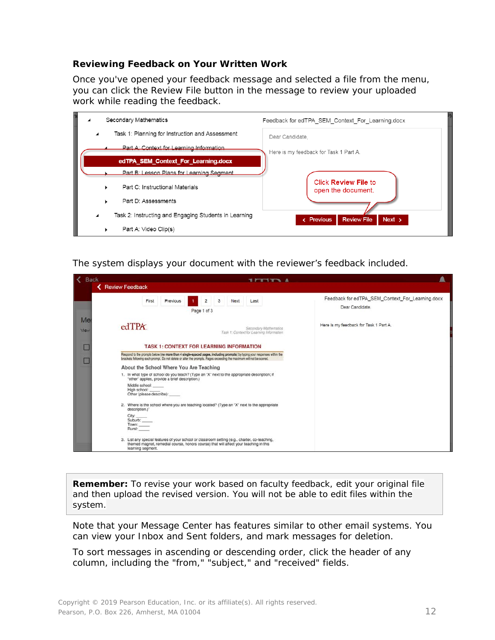#### **Reviewing Feedback on Your Written Work**

Once you've opened your feedback message and selected a file from the menu, you can click the Review File button in the message to review your uploaded work while reading the feedback.



The system displays your document with the reviewer's feedback included.

| <b>Back</b> | 一番 か<br>← Review Feedback                                                                                                                                                                                                                                                                                                                                                                                                                                                                                                                                                              |                                                    |                                                                                                               |
|-------------|----------------------------------------------------------------------------------------------------------------------------------------------------------------------------------------------------------------------------------------------------------------------------------------------------------------------------------------------------------------------------------------------------------------------------------------------------------------------------------------------------------------------------------------------------------------------------------------|----------------------------------------------------|---------------------------------------------------------------------------------------------------------------|
| Me:<br>View | First<br>Previous<br>edTPX                                                                                                                                                                                                                                                                                                                                                                                                                                                                                                                                                             | $\overline{c}$<br>3<br>Next<br>Last<br>Page 1 of 3 | Feedback for edTPA_SEM_Context_For_Learning.docx<br>Dear Candidate.<br>Here is my feedback for Task 1 Part A. |
|             | Secondary Mathematics<br>Task 1: Context for Learning Information<br><b>TASK 1: CONTEXT FOR LEARNING INFORMATION</b><br>Respond to the prompts below (no more than 4 single-spaced pages, including prompts) by typing your responses within the<br>brackets following each prompt. Do not delete or alter the prompts. Pages exceeding the maximum will not be scored.<br>About the School Where You Are Teaching<br>1. In what type of school do you teach? (Type an "X" next to the appropriate description; if<br>"other" applies, provide a brief description.)<br>Middle school: |                                                    |                                                                                                               |
|             | High school:<br>Other (please describe):<br>2. Where is the school where you are teaching located? (Type an "X" next to the appropriate<br>description.)'<br>City:<br>Suburb:<br>Town:<br>Rural:<br>3. List any special features of your school or classroom setting (e.g., charter, co-teaching,<br>themed magnet, remedial course, honors course) that will affect your teaching in this<br>learning segment.                                                                                                                                                                        |                                                    |                                                                                                               |

**Remember:** To revise your work based on faculty feedback, edit your original file and then upload the revised version. You will not be able to edit files within the system.

Note that your Message Center has features similar to other email systems. You can view your Inbox and Sent folders, and mark messages for deletion.

To sort messages in ascending or descending order, click the header of any column, including the "from," "subject," and "received" fields.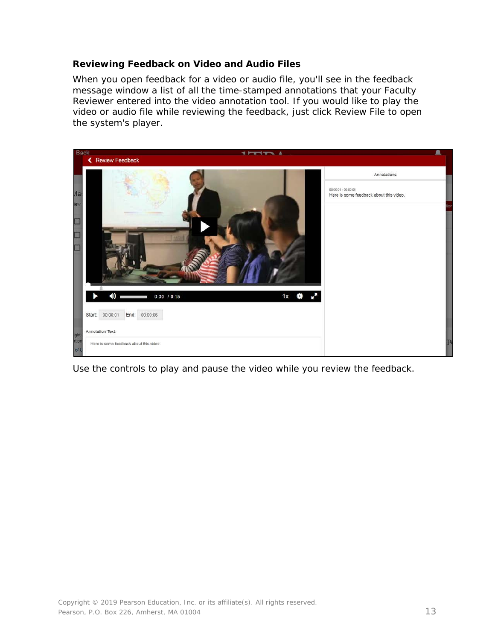#### **Reviewing Feedback on Video and Audio Files**

When you open feedback for a video or audio file, you'll see in the feedback message window a list of all the time-stamped annotations that your Faculty Reviewer entered into the video annotation tool. If you would like to play the video or audio file while reviewing the feedback, just click Review File to open the system's player.



Use the controls to play and pause the video while you review the feedback.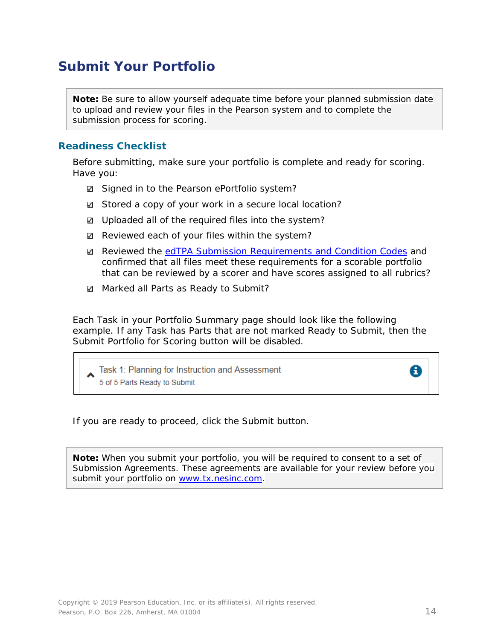# <span id="page-13-0"></span>**Submit Your Portfolio**

**Note:** Be sure to allow yourself adequate time before your planned submission date to upload and review your files in the Pearson system and to complete the submission process for scoring.

### **Readiness Checklist**

Before submitting, make sure your portfolio is complete and ready for scoring. Have you:

- **■** Signed in to the Pearson ePortfolio system?
- Stored a copy of your work in a secure local location?
- **■** Uploaded all of the required files into the system?
- $\Omega$  Reviewed each of your files within the system?
- Reviewed the [edTPA Submission Requirements](http://www.tx.nesinc.com/TestView.aspx?f=GEN_CandidatePolicies.html) and Condition Codes and confirmed that all files meet these requirements for a scorable portfolio that can be reviewed by a scorer and have scores assigned to all rubrics?
- **Ø** Marked all Parts as Ready to Submit?

Each Task in your Portfolio Summary page should look like the following example. If any Task has Parts that are not marked Ready to Submit, then the Submit Portfolio for Scoring button will be disabled.

Task 1: Planning for Instruction and Assessment 5 of 5 Parts Ready to Submit

If you are ready to proceed, click the Submit button.

**Note:** When you submit your portfolio, you will be required to consent to a set of Submission Agreements. These agreements are available for your review before you submit your portfolio on [www.tx.nesinc.com.](http://www.tx.nesinc.com/)

8